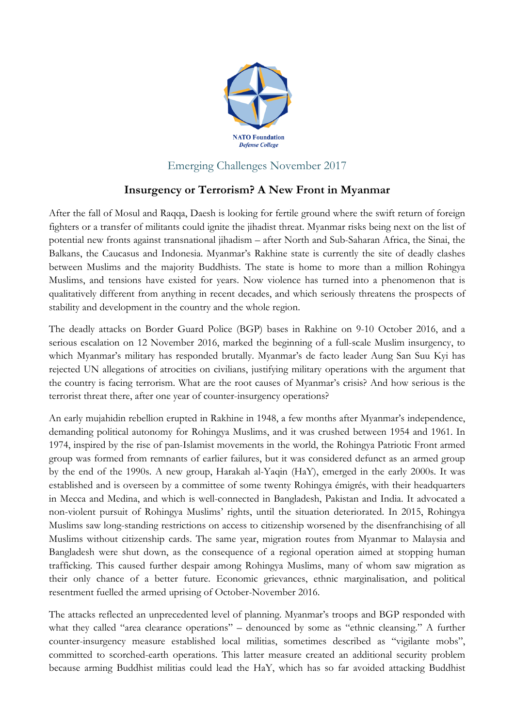

## Emerging Challenges November 2017

## **Insurgency or Terrorism? A New Front in Myanmar**

After the fall of Mosul and Raqqa, Daesh is looking for fertile ground where the swift return of foreign fighters or a transfer of militants could ignite the jihadist threat. Myanmar risks being next on the list of potential new fronts against transnational jihadism – after North and Sub-Saharan Africa, the Sinai, the Balkans, the Caucasus and Indonesia. Myanmar's Rakhine state is currently the site of deadly clashes between Muslims and the majority Buddhists. The state is home to more than a million Rohingya Muslims, and tensions have existed for years. Now violence has turned into a phenomenon that is qualitatively different from anything in recent decades, and which seriously threatens the prospects of stability and development in the country and the whole region.

The deadly attacks on Border Guard Police (BGP) bases in Rakhine on 9-10 October 2016, and a serious escalation on 12 November 2016, marked the beginning of a full-scale Muslim insurgency, to which Myanmar's military has responded brutally. Myanmar's de facto leader Aung San Suu Kyi has rejected UN allegations of atrocities on civilians, justifying military operations with the argument that the country is facing terrorism. What are the root causes of Myanmar's crisis? And how serious is the terrorist threat there, after one year of counter-insurgency operations?

An early mujahidin rebellion erupted in Rakhine in 1948, a few months after Myanmar's independence, demanding political autonomy for Rohingya Muslims, and it was crushed between 1954 and 1961. In 1974, inspired by the rise of pan-Islamist movements in the world, the Rohingya Patriotic Front armed group was formed from remnants of earlier failures, but it was considered defunct as an armed group by the end of the 1990s. A new group, Harakah al-Yaqin (HaY), emerged in the early 2000s. It was established and is overseen by a committee of some twenty Rohingya émigrés, with their headquarters in Mecca and Medina, and which is well-connected in Bangladesh, Pakistan and India. It advocated a non-violent pursuit of Rohingya Muslims' rights, until the situation deteriorated. In 2015, Rohingya Muslims saw long-standing restrictions on access to citizenship worsened by the disenfranchising of all Muslims without citizenship cards. The same year, migration routes from Myanmar to Malaysia and Bangladesh were shut down, as the consequence of a regional operation aimed at stopping human trafficking. This caused further despair among Rohingya Muslims, many of whom saw migration as their only chance of a better future. Economic grievances, ethnic marginalisation, and political resentment fuelled the armed uprising of October-November 2016.

The attacks reflected an unprecedented level of planning. Myanmar's troops and BGP responded with what they called "area clearance operations" – denounced by some as "ethnic cleansing." A further counter-insurgency measure established local militias, sometimes described as "vigilante mobs", committed to scorched-earth operations. This latter measure created an additional security problem because arming Buddhist militias could lead the HaY, which has so far avoided attacking Buddhist